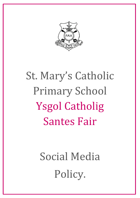

# St. Mary's Catholic Primary School Ysgol Catholig Santes Fair

# Social Media Policy.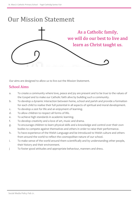## Our Mission Statement



Our aims are designed to allow us to live out the Mission Statement.

#### School Aims

- a. To create a community where love, peace and joy are present and to be true to the values of the Gospel and to make our Catholic faith alive by building such a community.
- b. To develop a dynamic interaction between home, school and parish and provide a formation for each child to realise their full potential in all aspects of spiritual and moral development.
- c. To develop a zest for life and an enjoyment of learning.
- d. To allow children to respect all forms of life.
- e. To achieve high standards in academic learning.
- f. To develop creativity and a love of art, music and drama.
- g. To encourage children to learn physical skills and a knowledge and control over their own bodies to compete against themselves and others in order to raise their performance.
- h. To have experience of the Welsh Language and be introduced to Welsh culture and others from around the world to reflect the cosmopolitan nature of our school.
- i. To make sense of the world around them scientifically and by understanding other people, their history and their environment.
- j To foster good attitudes and appropriate behaviour, manners and dress.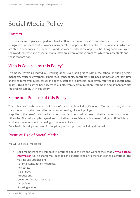## Social Media Policy

#### Context

This policy aims to give clear guidance to all staff in relation to the use of social media. The school recognises that social media provides many excellent opportunities to enhance the manner in which we are able to communicate with parents and the wider world. These opportunities bring some risks with them and therefore, it is essential that all staff are aware of those practices which are acceptable and those that are not.

#### Who is Covered by this Policy?

This policy covers all individuals working at all levels and grades within the school, including senior managers, officers, governors, employees, consultants, contractors, trainees, homeworkers, part-time and fixed-term employees, casual and agency staff and volunteers (collectively referred to as Staff in this policy). Third parties who have access to our electronic communication systems and equipment are also required to comply with this policy.

#### Scope and Purpose of this Policy.

This policy deals with the use of all forms of social media including Facebook, Twitter, Schoop, all other social networking sites, and all other internet postings, including blogs.

It applies to the use of social media for both work and personal purposes, whether during work hours or otherwise. The policy applies regardless of whether the social media is accessed using our IT facilities and equipment or equipment belonging to members of staff.

Breach of this policy may result in disciplinary action up to and including dismissal.

#### Positive Use of Social Media.

We will use social media to:

- Keep members of the community informed about the life and work of the school. **Whole school information** will be shared via Facebook and Twitter (and any other sanctioned platforms). This may include updates on:
- Parental Consultation Meetings.
- Key dates.
- INSET Days.
- Productions.
- Governors' Reports to Parents.
- Assemblies.
- Sporting events.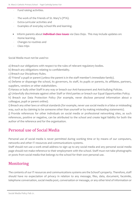- Fund raising activities.
- The work of the Friends of St. Mary's (PTA).
- Extra-curricular activities and
- Examples of everyday school life and learning.
- Inform parents about **individual class issues** via Class Dojo. This may include updates on:
- Home learning.
- Changes to routines and
- Class trips

Social Media must not be used to:

a) Breach our obligations with respect to the rules of relevant regulatory bodies.

b) Breach any obligations relating to confidentiality.

c) Breach our Disciplinary Rules.

d) 'Friend' a pupil or parent (unless the parent is in the staff member's immediate family).

e) Defame or disparage the school, its governors, its staff, its pupils or parents, its affiliates, partners, suppliers, vendors or other stakeholders.

f) Harass or bully other Staff in any way or breach our Anti-harassment and Anti-bullying Policies.

g) Unlawfully discriminate against other Staff or third parties or breach our Equal Opportunities Policy;

h) Breach our Data Protection Policy (for example, never disclose personal information about a colleague, pupil or parent online).

i) Breach any other laws or ethical standards (for example, never use social media in a false or misleading way, such as by claiming to be someone other than yourself or by making misleading statements).

j) Provide references for other individuals on social media or professional networking sites, as such references, positive or negative, can be attributed to the school and create legal liability for both the author of the reference and for the organisation.

#### Personal use of Social Media

Personal use of social media is never permitted during working time or by means of our computers, networks and other IT resources and communications systems.

Staff should not use a work email address to sign up to any social media and any personal social media page should not make reference to their employment with the school. Staff must not take photographs or posts from social media that belongs to the school for their own personal use.

#### Monitoring

The contents of our IT resources and communications systems are the School's property. Therefore, staff should have no expectation of privacy in relation to any message, files, data, document, facsimile, telephone conversation, social media post, conversation or message, or any other kind of information or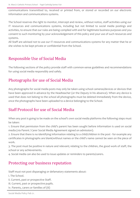communications transmitted to, received or printed from, or stored or recorded on our electronic information and communications systems.

The School reserves the right to monitor, intercept and review, without notice, staff activities using our IT resources and communications systems, including but not limited to social media postings and activities, to ensure that our rules are being complied with and for legitimate business purposes and you consent to such monitoring by your acknowledgement of this policy and your use of such resources and systems.

All Staff are advised not to use our IT resources and communications systems for any matter that he or she wishes to be kept private or confidential from the School.

#### Responsible Use of Social Media

The following sections of the policy provide staff with common-sense guidelines and recommendations for using social media responsibly and safely.

#### Photographs for use of Social Media

Any photographs for social media posts may only be taken using school cameras/devices or devices that have been approved in advance by the Headteacher (or the Deputy in his absence). When any device is used that does not belong to the school all photographs must be deleted immediately from the device, once the photographs have been uploaded to a device belonging to the School.

#### Staff Protocol for use of Social Media

When any post is going to be made on the school's own social media platforms the following steps must be taken:

1. Ensure that permission from the child's parent has been sought before information is used on social media (via Parent / Carer Social Media Agreement signed on admission).

2. Ensure that there is no identifying information relating to a child/children in the post - for example any certificates in photographs are blank/without names or the child's name cannot be seen on the piece of work.

3. The post must be positive in nature and relevant; relating to the children, the good work of staff, the school or any achievements.

4. Social media can also be used to issue updates or reminders to parents/carers.

#### Protecting our business reputation

Staff must not post disparaging or defamatory statements about:

i. The School.

ii. Current, past or prospective Staff.

iii. Current, past or prospective pupils.

iv. Parents, carers or families of (iii)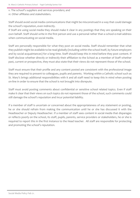v. The school's suppliers and services providers; and

vi. Other affiliates and stakeholders.

Staff should avoid social media communications that might be misconstrued in a way that could damage the school's reputation, even indirectly.

If Staff are using social media they should make it clear in any postings that they are speaking on their own behalf. Staff should write in the first person and use a personal rather than a school e-mail address when communicating on social media.

Staff are personally responsible for what they post on social media. Staff should remember that what they publish might be available to be read globally (including within the school itself, by future employers and by social acquaintances) for a long time. Staff should keep this in mind before they post content. If Staff disclose whether directly or indirectly their affiliation to the School as a member of Staff whether past, current or prospective, they must also state that their views do not represent those of the school.

Staff must ensure that their profile and any content posted are consistent with the professional image they are required to present to colleagues, pupils and parents. Working within a Catholic school such as St. Mary's brings additional responsibilities with it and all staff need to keep this in mind when posting on-line in order to ensure that the school is not brought into disrepute.

Staff must avoid posting comments about confidential or sensitive school related topics. Even if staff make it clear that their views on such topics do not represent those of the school, such comments could still damage the school's reputation and incur potential liability.

If a member of staff is uncertain or concerned about the appropriateness of any statement or posting, he or she should refrain from making the communication until he or she has discussed it with the Headteacher or Deputy Headteacher. If a member of staff sees content in social media that disparages or reflects poorly on the school, its staff, pupils, parents, service providers or stakeholders, he or she is required to report this in the first instance to the Head teacher. All staff are responsible for protecting and promoting the school's reputation.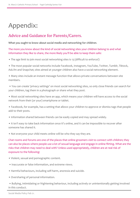## Appendix:

### Advice and Guidance for Parents/Carers.

**What you ought to know about social media and networking for children**.

The more you know about the kind of social networking sites your children belong to and what information they like to share, the more likely you'll be able to keep them safe:

- The age limit to join most social networking sites is 13 (difficult to enforce!)
- The most popular social networks include Facebook, Instagram, YouTube, Twitter, Tumblr, Tiktock, Ask.fm and Snapchat; sites aimed at younger children also have a social networking element.
- Many sites include an instant message function that allows private conversations between site members.
- You can create 'privacy settings' on most social networking sites, so only close friends can search for your children, tag them in a photograph or share what they post.
- Most social networking sites have an app, which means your children will have access to the social network from their (or your) smartphone or tablet.
- Facebook, for example, has a setting that allows your children to approve or dismiss tags that people add to their posts.
- Information shared between friends can be easily copied and may spread widely.
- It isn't easy to take back information once it's online, and it can be impossible to recover after someone has shared it.
- Not everyone your child meets online will be who they say they are.

Chat rooms and forums are one of the places that online groomers visit to connect with children; they can also be places where people use a lot of sexual language and engage in online flirting. What are the risks that children may need to deal with? Unless used appropriately, children are at real risk of exposure to the following:

- Violent, sexual and pornographic content.
- Inaccurate or false information, and extreme views.
- Harmful behaviours, including self-harm, anorexia and suicide.
- Oversharing of personal information.

• Bullying, intimidating or frightening behaviour, including actively or unintentionally getting involved in this conduct.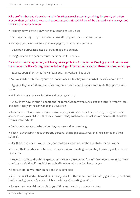Fake profiles that people use for mischief-making, sexual grooming, stalking, blackmail, extortion, identity theft or hacking. How such exposure could affect children will be affected in many ways, but here are the most common:

- Fearing they will miss out, which may lead to excessive use.
- Getting upset by things they have seen and being uncertain what to do about it.
- Engaging, or being pressurised into engaging, in more risky behaviour.
- Developing unrealistic ideals of body image and gender.
- Being subjected to peer pressure that is difficult to handle.

Creating an online reputation, which may create problems in the future. Keeping your children safe on social networks There is no guarantee to keeping children entirely safe, but there are some golden tips:

- Educate yourself on what the various social networks and apps do
- Ask your children to show you which social media sites they use and what they like about them

• Agree with your children when they can join a social networking site and create their profile with them

• Help them to set privacy, location and tagging settings

• Show them how to report people and inappropriate conversations using the 'help' or 'report' tab, and keep a copy of the conversation as evidence

• Teach your children how to block or ignore people (or learn how to do this together), and create a sentence with your children that they can use if they wish to exit an online conversation that makes them uncomfortable

- Set boundaries about which sites they can use and for how long
- Teach your children not to share any personal details (eg passwords, their real names and their schools)
- Use the site yourself you can be your children's friend on Facebook or follower on Twitter
- Explain that friends should be people they know and meeting people they know only online can be dangerous

• Report directly to the Child Exploitation and Online Protection (CEOP) if someone is trying to meet up with your child, or if you think your child is in immediate or imminent danger

• Set rules about what they should and shouldn't post

• Visit the social media sites and familiarise yourself with each site's online safety guidelines; Facebook, Twitter, Instagram and Snapchat all have safety and reporting facilities

• Encourage your children to talk to you if they see anything that upsets them.